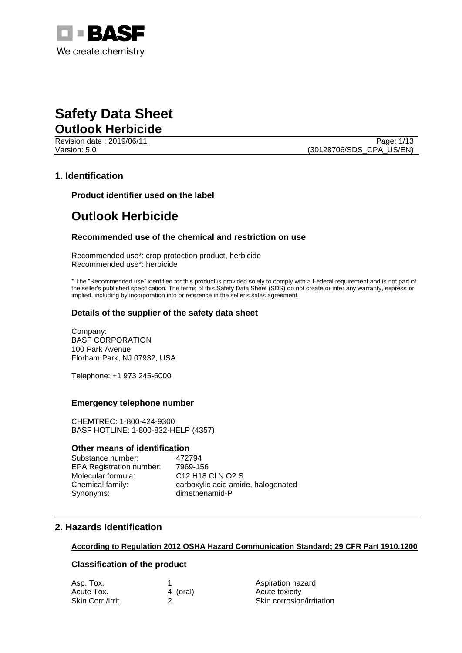

Revision date : 2019/06/11 Page: 1/13 Version: 5.0 (30128706/SDS\_CPA\_US/EN)

## **1. Identification**

**Product identifier used on the label**

# **Outlook Herbicide**

#### **Recommended use of the chemical and restriction on use**

Recommended use\*: crop protection product, herbicide Recommended use\*: herbicide

\* The "Recommended use" identified for this product is provided solely to comply with a Federal requirement and is not part of the seller's published specification. The terms of this Safety Data Sheet (SDS) do not create or infer any warranty, express or implied, including by incorporation into or reference in the seller's sales agreement.

#### **Details of the supplier of the safety data sheet**

Company: BASF CORPORATION 100 Park Avenue Florham Park, NJ 07932, USA

Telephone: +1 973 245-6000

#### **Emergency telephone number**

CHEMTREC: 1-800-424-9300 BASF HOTLINE: 1-800-832-HELP (4357)

#### **Other means of identification**

Substance number: 472794 EPA Registration number: 7969-156 Molecular formula: C12 H18 Cl N O2 S Synonyms: dimethenamid-P

Chemical family: carboxylic acid amide, halogenated

### **2. Hazards Identification**

#### **According to Regulation 2012 OSHA Hazard Communication Standard; 29 CFR Part 1910.1200**

## **Classification of the product**

| Asp. Tox.         |          | Aspiration hazard         |
|-------------------|----------|---------------------------|
| Acute Tox.        | 4 (oral) | Acute toxicity            |
| Skin Corr./Irrit. |          | Skin corrosion/irritation |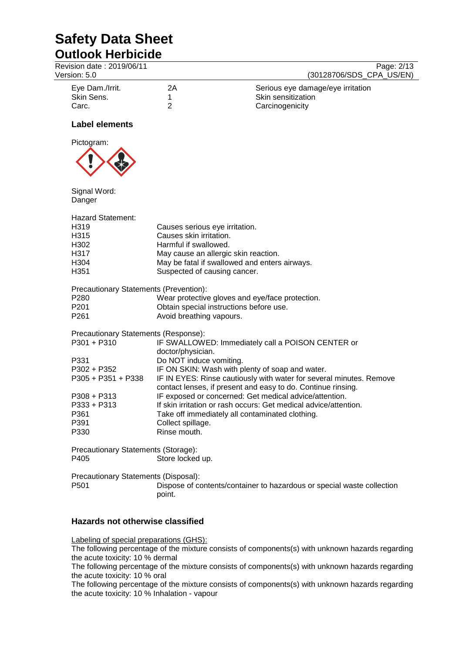Revision date : 2019/06/11 Page: 2/13

| Version: 5.0    |    | (30128706/SDS CPA US/EN)          |
|-----------------|----|-----------------------------------|
| Eye Dam./Irrit. | 2Α | Serious eye damage/eye irritation |
| Skin Sens.      |    | Skin sensitization                |
| Carc.           |    | Carcinogenicity                   |

## **Label elements**



Signal Word: Danger

|      | Hazard Statement: |
|------|-------------------|
| H319 |                   |

| H319 | Causes serious eye irritation.                |
|------|-----------------------------------------------|
| H315 | Causes skin irritation.                       |
| H302 | Harmful if swallowed.                         |
| H317 | May cause an allergic skin reaction.          |
| H304 | May be fatal if swallowed and enters airways. |
| H351 | Suspected of causing cancer.                  |

Precautionary Statements (Prevention):

| P280 | Wear protective gloves and eye/face protection. |
|------|-------------------------------------------------|
|------|-------------------------------------------------|

- P201 Obtain special instructions before use.
- P261 **Avoid breathing vapours.**

Precautionary Statements (Response):

| P301 + P310        | IF SWALLOWED: Immediately call a POISON CENTER or                                                                                   |
|--------------------|-------------------------------------------------------------------------------------------------------------------------------------|
|                    | doctor/physician.                                                                                                                   |
| P331               | Do NOT induce vomiting.                                                                                                             |
| P302 + P352        | IF ON SKIN: Wash with plenty of soap and water.                                                                                     |
| P305 + P351 + P338 | IF IN EYES: Rinse cautiously with water for several minutes. Remove<br>contact lenses, if present and easy to do. Continue rinsing. |
| $P308 + P313$      | IF exposed or concerned: Get medical advice/attention.                                                                              |
| P333 + P313        | If skin irritation or rash occurs: Get medical advice/attention.                                                                    |
| P361               | Take off immediately all contaminated clothing.                                                                                     |
| P391               | Collect spillage.                                                                                                                   |
| P330               | Rinse mouth.                                                                                                                        |
|                    |                                                                                                                                     |

Precautionary Statements (Storage): P405 Store locked up.

Precautionary Statements (Disposal): P501 Dispose of contents/container to hazardous or special waste collection point.

# **Hazards not otherwise classified**

Labeling of special preparations (GHS):

The following percentage of the mixture consists of components(s) with unknown hazards regarding the acute toxicity: 10 % dermal

The following percentage of the mixture consists of components(s) with unknown hazards regarding the acute toxicity: 10 % oral

The following percentage of the mixture consists of components(s) with unknown hazards regarding the acute toxicity: 10 % Inhalation - vapour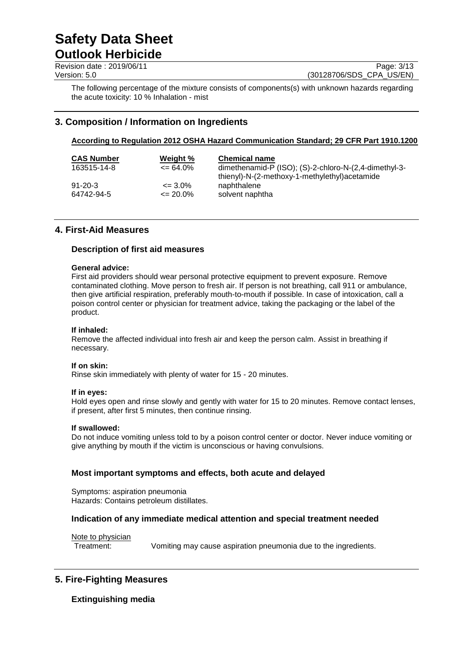Revision date : 2019/06/11 Page: 3/13<br>
Version: 5.0 (30128706/SDS CPA US/EN) (30128706/SDS CPA US/EN)

The following percentage of the mixture consists of components(s) with unknown hazards regarding the acute toxicity: 10 % Inhalation - mist

# **3. Composition / Information on Ingredients**

# **According to Regulation 2012 OSHA Hazard Communication Standard; 29 CFR Part 1910.1200**

| <b>CAS Number</b><br>163515-14-8 | Weight %<br>$\epsilon$ = 64.0% | <b>Chemical name</b><br>dimethenamid-P $(ISO)$ ; $(S)$ -2-chloro-N- $(2,4$ -dimethyl-3-<br>thienyl)-N-(2-methoxy-1-methylethyl)acetamide |
|----------------------------------|--------------------------------|------------------------------------------------------------------------------------------------------------------------------------------|
| $91 - 20 - 3$                    | $\epsilon = 3.0\%$             | naphthalene                                                                                                                              |
| 64742-94-5                       | $\epsilon$ = 20.0%             | solvent naphtha                                                                                                                          |

# **4. First-Aid Measures**

#### **Description of first aid measures**

#### **General advice:**

First aid providers should wear personal protective equipment to prevent exposure. Remove contaminated clothing. Move person to fresh air. If person is not breathing, call 911 or ambulance, then give artificial respiration, preferably mouth-to-mouth if possible. In case of intoxication, call a poison control center or physician for treatment advice, taking the packaging or the label of the product.

#### **If inhaled:**

Remove the affected individual into fresh air and keep the person calm. Assist in breathing if necessary.

#### **If on skin:**

Rinse skin immediately with plenty of water for 15 - 20 minutes.

#### **If in eyes:**

Hold eyes open and rinse slowly and gently with water for 15 to 20 minutes. Remove contact lenses, if present, after first 5 minutes, then continue rinsing.

#### **If swallowed:**

Do not induce vomiting unless told to by a poison control center or doctor. Never induce vomiting or give anything by mouth if the victim is unconscious or having convulsions.

#### **Most important symptoms and effects, both acute and delayed**

Symptoms: aspiration pneumonia Hazards: Contains petroleum distillates.

#### **Indication of any immediate medical attention and special treatment needed**

Note to physician

Treatment: Vomiting may cause aspiration pneumonia due to the ingredients.

# **5. Fire-Fighting Measures**

**Extinguishing media**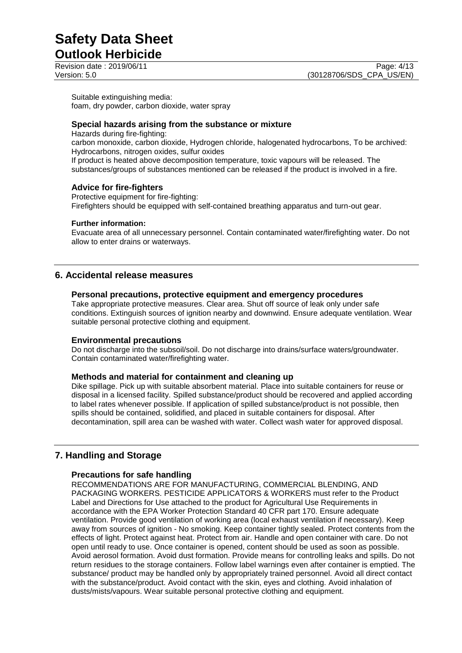**Outlook Herbicide**

Suitable extinguishing media: foam, dry powder, carbon dioxide, water spray

### **Special hazards arising from the substance or mixture**

Hazards during fire-fighting:

carbon monoxide, carbon dioxide, Hydrogen chloride, halogenated hydrocarbons, To be archived: Hydrocarbons, nitrogen oxides, sulfur oxides

If product is heated above decomposition temperature, toxic vapours will be released. The substances/groups of substances mentioned can be released if the product is involved in a fire.

## **Advice for fire-fighters**

Protective equipment for fire-fighting: Firefighters should be equipped with self-contained breathing apparatus and turn-out gear.

#### **Further information:**

Evacuate area of all unnecessary personnel. Contain contaminated water/firefighting water. Do not allow to enter drains or waterways.

# **6. Accidental release measures**

#### **Personal precautions, protective equipment and emergency procedures**

Take appropriate protective measures. Clear area. Shut off source of leak only under safe conditions. Extinguish sources of ignition nearby and downwind. Ensure adequate ventilation. Wear suitable personal protective clothing and equipment.

#### **Environmental precautions**

Do not discharge into the subsoil/soil. Do not discharge into drains/surface waters/groundwater. Contain contaminated water/firefighting water.

#### **Methods and material for containment and cleaning up**

Dike spillage. Pick up with suitable absorbent material. Place into suitable containers for reuse or disposal in a licensed facility. Spilled substance/product should be recovered and applied according to label rates whenever possible. If application of spilled substance/product is not possible, then spills should be contained, solidified, and placed in suitable containers for disposal. After decontamination, spill area can be washed with water. Collect wash water for approved disposal.

# **7. Handling and Storage**

#### **Precautions for safe handling**

RECOMMENDATIONS ARE FOR MANUFACTURING, COMMERCIAL BLENDING, AND PACKAGING WORKERS. PESTICIDE APPLICATORS & WORKERS must refer to the Product Label and Directions for Use attached to the product for Agricultural Use Requirements in accordance with the EPA Worker Protection Standard 40 CFR part 170. Ensure adequate ventilation. Provide good ventilation of working area (local exhaust ventilation if necessary). Keep away from sources of ignition - No smoking. Keep container tightly sealed. Protect contents from the effects of light. Protect against heat. Protect from air. Handle and open container with care. Do not open until ready to use. Once container is opened, content should be used as soon as possible. Avoid aerosol formation. Avoid dust formation. Provide means for controlling leaks and spills. Do not return residues to the storage containers. Follow label warnings even after container is emptied. The substance/ product may be handled only by appropriately trained personnel. Avoid all direct contact with the substance/product. Avoid contact with the skin, eyes and clothing. Avoid inhalation of dusts/mists/vapours. Wear suitable personal protective clothing and equipment.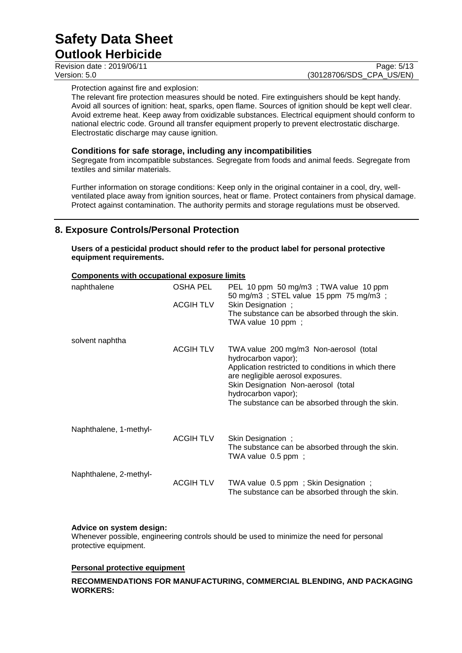| <b>UULIUUR LIGI DIULUG</b> |                          |
|----------------------------|--------------------------|
| Revision date: 2019/06/11  | Page: 5/13               |
| Version: 5.0               | (30128706/SDS CPA US/EN) |

Protection against fire and explosion:

The relevant fire protection measures should be noted. Fire extinguishers should be kept handy. Avoid all sources of ignition: heat, sparks, open flame. Sources of ignition should be kept well clear. Avoid extreme heat. Keep away from oxidizable substances. Electrical equipment should conform to national electric code. Ground all transfer equipment properly to prevent electrostatic discharge. Electrostatic discharge may cause ignition.

#### **Conditions for safe storage, including any incompatibilities**

Segregate from incompatible substances. Segregate from foods and animal feeds. Segregate from textiles and similar materials.

Further information on storage conditions: Keep only in the original container in a cool, dry, wellventilated place away from ignition sources, heat or flame. Protect containers from physical damage. Protect against contamination. The authority permits and storage regulations must be observed.

# **8. Exposure Controls/Personal Protection**

**Users of a pesticidal product should refer to the product label for personal protective equipment requirements.**

| naphthalene            | <b>OSHA PEL</b>  | PEL 10 ppm 50 mg/m3; TWA value 10 ppm                                                                                                                                                                                                                                      |
|------------------------|------------------|----------------------------------------------------------------------------------------------------------------------------------------------------------------------------------------------------------------------------------------------------------------------------|
|                        | <b>ACGIHTLV</b>  | 50 mg/m3; STEL value 15 ppm 75 mg/m3;<br>Skin Designation;<br>The substance can be absorbed through the skin.<br>TWA value 10 ppm;                                                                                                                                         |
| solvent naphtha        |                  |                                                                                                                                                                                                                                                                            |
|                        | <b>ACGIH TLV</b> | TWA value 200 mg/m3 Non-aerosol (total<br>hydrocarbon vapor);<br>Application restricted to conditions in which there<br>are negligible aerosol exposures.<br>Skin Designation Non-aerosol (total<br>hydrocarbon vapor);<br>The substance can be absorbed through the skin. |
| Naphthalene, 1-methyl- | <b>ACGIHTLV</b>  | Skin Designation;<br>The substance can be absorbed through the skin.<br>TWA value 0.5 ppm;                                                                                                                                                                                 |
| Naphthalene, 2-methyl- | <b>ACGIH TLV</b> | TWA value 0.5 ppm; Skin Designation;<br>The substance can be absorbed through the skin.                                                                                                                                                                                    |

#### **Components with occupational exposure limits**

#### **Advice on system design:**

Whenever possible, engineering controls should be used to minimize the need for personal protective equipment.

## **Personal protective equipment**

**RECOMMENDATIONS FOR MANUFACTURING, COMMERCIAL BLENDING, AND PACKAGING WORKERS:**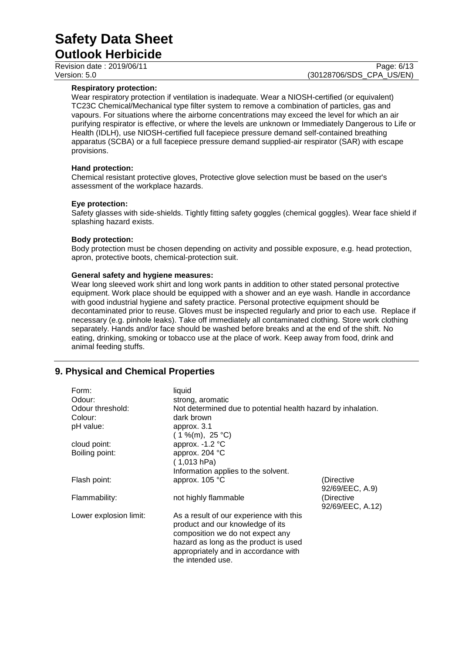**Outlook Herbicide** Revision date : 2019/06/11 Page: 6/13<br>
Version: 5.0 (30128706/SDS CPA US/EN)

(30128706/SDS\_CPA\_US/EN)

#### **Respiratory protection:**

Wear respiratory protection if ventilation is inadequate. Wear a NIOSH-certified (or equivalent) TC23C Chemical/Mechanical type filter system to remove a combination of particles, gas and vapours. For situations where the airborne concentrations may exceed the level for which an air purifying respirator is effective, or where the levels are unknown or Immediately Dangerous to Life or Health (IDLH), use NIOSH-certified full facepiece pressure demand self-contained breathing apparatus (SCBA) or a full facepiece pressure demand supplied-air respirator (SAR) with escape provisions.

#### **Hand protection:**

Chemical resistant protective gloves, Protective glove selection must be based on the user's assessment of the workplace hazards.

#### **Eye protection:**

Safety glasses with side-shields. Tightly fitting safety goggles (chemical goggles). Wear face shield if splashing hazard exists.

#### **Body protection:**

Body protection must be chosen depending on activity and possible exposure, e.g. head protection, apron, protective boots, chemical-protection suit.

#### **General safety and hygiene measures:**

Wear long sleeved work shirt and long work pants in addition to other stated personal protective equipment. Work place should be equipped with a shower and an eye wash. Handle in accordance with good industrial hygiene and safety practice. Personal protective equipment should be decontaminated prior to reuse. Gloves must be inspected regularly and prior to each use. Replace if necessary (e.g. pinhole leaks). Take off immediately all contaminated clothing. Store work clothing separately. Hands and/or face should be washed before breaks and at the end of the shift. No eating, drinking, smoking or tobacco use at the place of work. Keep away from food, drink and animal feeding stuffs.

# **9. Physical and Chemical Properties**

| Form:<br>Odour:<br>Odour threshold:<br>Colour:<br>pH value: | liquid<br>strong, aromatic<br>Not determined due to potential health hazard by inhalation.<br>dark brown<br>approx. 3.1<br>$(1\%$ (m), 25 °C)                                                                         |                                |
|-------------------------------------------------------------|-----------------------------------------------------------------------------------------------------------------------------------------------------------------------------------------------------------------------|--------------------------------|
| cloud point:                                                | approx. -1.2 °C                                                                                                                                                                                                       |                                |
| Boiling point:                                              | approx. 204 °C<br>(1,013 hPa)                                                                                                                                                                                         |                                |
| Flash point:                                                | Information applies to the solvent.<br>approx. 105 °C                                                                                                                                                                 | (Directive<br>92/69/EEC, A.9)  |
| Flammability:                                               | not highly flammable                                                                                                                                                                                                  | (Directive<br>92/69/EEC, A.12) |
| Lower explosion limit:                                      | As a result of our experience with this<br>product and our knowledge of its<br>composition we do not expect any<br>hazard as long as the product is used<br>appropriately and in accordance with<br>the intended use. |                                |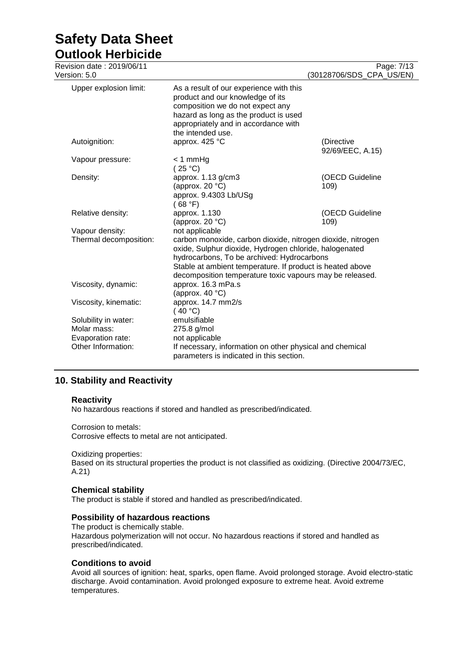**Outlook Herbicide**

| Revision date : 2019/06/11              |                                                                                                                                                                                                                                                                                              | Page: 7/13                     |
|-----------------------------------------|----------------------------------------------------------------------------------------------------------------------------------------------------------------------------------------------------------------------------------------------------------------------------------------------|--------------------------------|
| Version: 5.0                            |                                                                                                                                                                                                                                                                                              | (30128706/SDS_CPA_US/EN)       |
| Upper explosion limit:                  | As a result of our experience with this<br>product and our knowledge of its<br>composition we do not expect any<br>hazard as long as the product is used<br>appropriately and in accordance with<br>the intended use.                                                                        |                                |
| Autoignition:                           | approx. 425 °C                                                                                                                                                                                                                                                                               | (Directive<br>92/69/EEC, A.15) |
| Vapour pressure:                        | $< 1$ mmHg<br>(25 °C)                                                                                                                                                                                                                                                                        |                                |
| Density:                                | approx. 1.13 g/cm3<br>(approx. 20 $°C$ )<br>approx. 9.4303 Lb/USg<br>(68 °F)                                                                                                                                                                                                                 | (OECD Guideline<br>109)        |
| Relative density:                       | approx. 1.130<br>(approx. 20 $°C$ )                                                                                                                                                                                                                                                          | (OECD Guideline<br>109)        |
| Vapour density:                         | not applicable                                                                                                                                                                                                                                                                               |                                |
| Thermal decomposition:                  | carbon monoxide, carbon dioxide, nitrogen dioxide, nitrogen<br>oxide, Sulphur dioxide, Hydrogen chloride, halogenated<br>hydrocarbons, To be archived: Hydrocarbons<br>Stable at ambient temperature. If product is heated above<br>decomposition temperature toxic vapours may be released. |                                |
| Viscosity, dynamic:                     | approx. 16.3 mPa.s<br>(approx. 40 $°C$ )                                                                                                                                                                                                                                                     |                                |
| Viscosity, kinematic:                   | approx. 14.7 mm2/s<br>(40 °C)                                                                                                                                                                                                                                                                |                                |
| Solubility in water:                    | emulsifiable                                                                                                                                                                                                                                                                                 |                                |
| Molar mass:                             | 275.8 g/mol                                                                                                                                                                                                                                                                                  |                                |
| Evaporation rate:<br>Other Information: | not applicable<br>If necessary, information on other physical and chemical                                                                                                                                                                                                                   |                                |
|                                         | parameters is indicated in this section.                                                                                                                                                                                                                                                     |                                |

# **10. Stability and Reactivity**

#### **Reactivity**

No hazardous reactions if stored and handled as prescribed/indicated.

Corrosion to metals: Corrosive effects to metal are not anticipated.

#### Oxidizing properties:

Based on its structural properties the product is not classified as oxidizing. (Directive 2004/73/EC, A.21)

#### **Chemical stability**

The product is stable if stored and handled as prescribed/indicated.

#### **Possibility of hazardous reactions**

The product is chemically stable. Hazardous polymerization will not occur. No hazardous reactions if stored and handled as prescribed/indicated.

#### **Conditions to avoid**

Avoid all sources of ignition: heat, sparks, open flame. Avoid prolonged storage. Avoid electro-static discharge. Avoid contamination. Avoid prolonged exposure to extreme heat. Avoid extreme temperatures.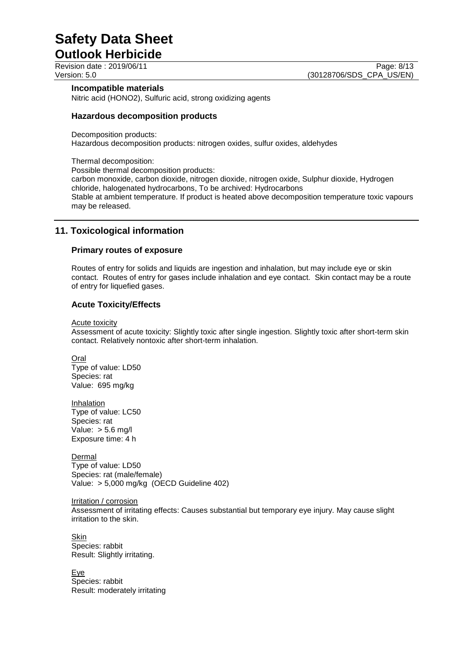**Outlook Herbicide**

### **Incompatible materials**

Nitric acid (HONO2), Sulfuric acid, strong oxidizing agents

#### **Hazardous decomposition products**

Decomposition products: Hazardous decomposition products: nitrogen oxides, sulfur oxides, aldehydes

Thermal decomposition: Possible thermal decomposition products:

carbon monoxide, carbon dioxide, nitrogen dioxide, nitrogen oxide, Sulphur dioxide, Hydrogen chloride, halogenated hydrocarbons, To be archived: Hydrocarbons Stable at ambient temperature. If product is heated above decomposition temperature toxic vapours may be released.

# **11. Toxicological information**

#### **Primary routes of exposure**

Routes of entry for solids and liquids are ingestion and inhalation, but may include eye or skin contact. Routes of entry for gases include inhalation and eye contact. Skin contact may be a route of entry for liquefied gases.

#### **Acute Toxicity/Effects**

Acute toxicity

Assessment of acute toxicity: Slightly toxic after single ingestion. Slightly toxic after short-term skin contact. Relatively nontoxic after short-term inhalation.

**Oral** Type of value: LD50 Species: rat Value: 695 mg/kg

Inhalation Type of value: LC50 Species: rat Value:  $> 5.6$  mg/l Exposure time: 4 h

**Dermal** Type of value: LD50 Species: rat (male/female) Value: > 5,000 mg/kg (OECD Guideline 402)

Irritation / corrosion Assessment of irritating effects: Causes substantial but temporary eye injury. May cause slight irritation to the skin.

**Skin** Species: rabbit Result: Slightly irritating.

Eye Species: rabbit Result: moderately irritating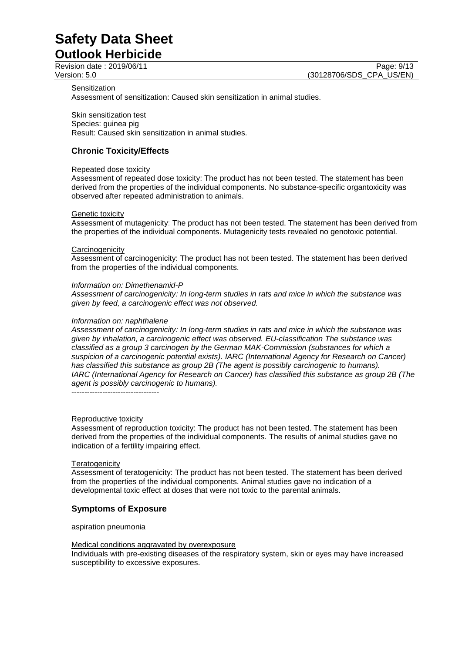**Outlook Herbicide**

Revision date : 2019/06/11 Page: 9/13<br>
Version: 5.0 (30128706/SDS CPA US/EN) (30128706/SDS\_CPA\_US/EN)

#### **Sensitization**

Assessment of sensitization: Caused skin sensitization in animal studies.

Skin sensitization test Species: guinea pig Result: Caused skin sensitization in animal studies.

## **Chronic Toxicity/Effects**

#### Repeated dose toxicity

Assessment of repeated dose toxicity: The product has not been tested. The statement has been derived from the properties of the individual components. No substance-specific organtoxicity was observed after repeated administration to animals.

#### Genetic toxicity

Assessment of mutagenicity: The product has not been tested. The statement has been derived from the properties of the individual components. Mutagenicity tests revealed no genotoxic potential.

#### **Carcinogenicity**

Assessment of carcinogenicity: The product has not been tested. The statement has been derived from the properties of the individual components.

#### *Information on: Dimethenamid-P*

*Assessment of carcinogenicity: In long-term studies in rats and mice in which the substance was given by feed, a carcinogenic effect was not observed.*

#### *Information on: naphthalene*

*Assessment of carcinogenicity: In long-term studies in rats and mice in which the substance was given by inhalation, a carcinogenic effect was observed. EU-classification The substance was classified as a group 3 carcinogen by the German MAK-Commission (substances for which a suspicion of a carcinogenic potential exists). IARC (International Agency for Research on Cancer) has classified this substance as group 2B (The agent is possibly carcinogenic to humans). IARC (International Agency for Research on Cancer) has classified this substance as group 2B (The agent is possibly carcinogenic to humans).*

----------------------------------

#### Reproductive toxicity

Assessment of reproduction toxicity: The product has not been tested. The statement has been derived from the properties of the individual components. The results of animal studies gave no indication of a fertility impairing effect.

#### **Teratogenicity**

Assessment of teratogenicity: The product has not been tested. The statement has been derived from the properties of the individual components. Animal studies gave no indication of a developmental toxic effect at doses that were not toxic to the parental animals.

#### **Symptoms of Exposure**

aspiration pneumonia

#### Medical conditions aggravated by overexposure

Individuals with pre-existing diseases of the respiratory system, skin or eyes may have increased susceptibility to excessive exposures.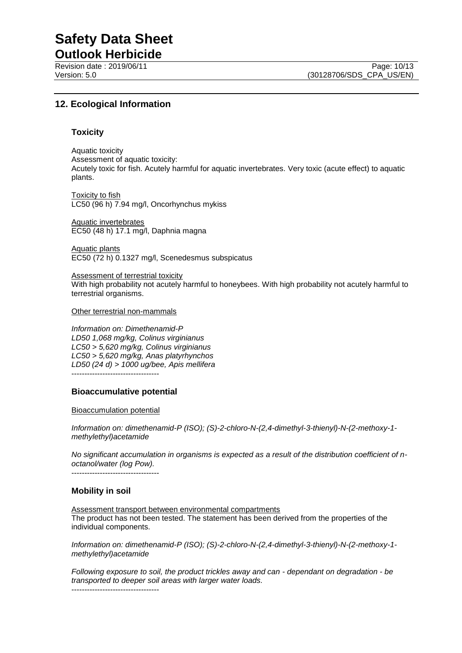**Outlook Herbicide**

# **12. Ecological Information**

#### **Toxicity**

Aquatic toxicity Assessment of aquatic toxicity: Acutely toxic for fish. Acutely harmful for aquatic invertebrates. Very toxic (acute effect) to aquatic plants.

Toxicity to fish LC50 (96 h) 7.94 mg/l, Oncorhynchus mykiss

Aquatic invertebrates EC50 (48 h) 17.1 mg/l, Daphnia magna

Aquatic plants EC50 (72 h) 0.1327 mg/l, Scenedesmus subspicatus

Assessment of terrestrial toxicity With high probability not acutely harmful to honeybees. With high probability not acutely harmful to terrestrial organisms.

Other terrestrial non-mammals

*Information on: Dimethenamid-P LD50 1,068 mg/kg, Colinus virginianus LC50 > 5,620 mg/kg, Colinus virginianus LC50 > 5,620 mg/kg, Anas platyrhynchos LD50 (24 d) > 1000 ug/bee, Apis mellifera* ----------------------------------

#### **Bioaccumulative potential**

Bioaccumulation potential

*Information on: dimethenamid-P (ISO); (S)-2-chloro-N-(2,4-dimethyl-3-thienyl)-N-(2-methoxy-1 methylethyl)acetamide*

*No significant accumulation in organisms is expected as a result of the distribution coefficient of noctanol/water (log Pow).*

----------------------------------

#### **Mobility in soil**

Assessment transport between environmental compartments The product has not been tested. The statement has been derived from the properties of the individual components.

*Information on: dimethenamid-P (ISO); (S)-2-chloro-N-(2,4-dimethyl-3-thienyl)-N-(2-methoxy-1 methylethyl)acetamide*

*Following exposure to soil, the product trickles away and can - dependant on degradation - be transported to deeper soil areas with larger water loads.* ----------------------------------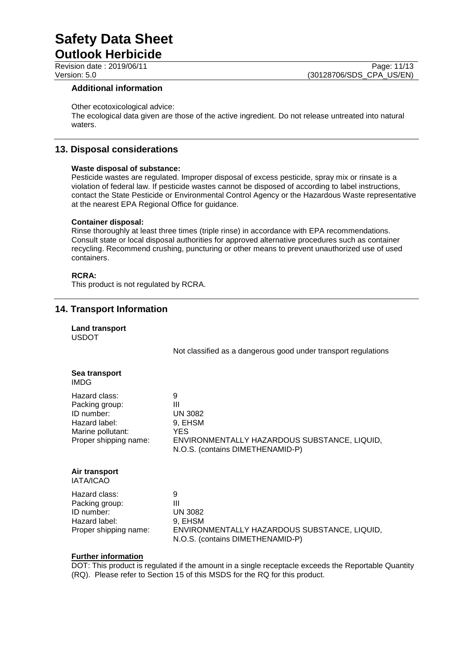**Outlook Herbicide**

### **Additional information**

#### Other ecotoxicological advice:

The ecological data given are those of the active ingredient. Do not release untreated into natural waters.

## **13. Disposal considerations**

#### **Waste disposal of substance:**

Pesticide wastes are regulated. Improper disposal of excess pesticide, spray mix or rinsate is a violation of federal law. If pesticide wastes cannot be disposed of according to label instructions, contact the State Pesticide or Environmental Control Agency or the Hazardous Waste representative at the nearest EPA Regional Office for guidance.

#### **Container disposal:**

Rinse thoroughly at least three times (triple rinse) in accordance with EPA recommendations. Consult state or local disposal authorities for approved alternative procedures such as container recycling. Recommend crushing, puncturing or other means to prevent unauthorized use of used containers.

### **RCRA:**

This product is not regulated by RCRA.

# **14. Transport Information**

|              | <b>Land transport</b> |
|--------------|-----------------------|
| <b>USDOT</b> |                       |

Not classified as a dangerous good under transport regulations

|      | Sea transport |
|------|---------------|
| IMDG |               |

| 9                                                                                |
|----------------------------------------------------------------------------------|
| Ш                                                                                |
| <b>UN 3082</b>                                                                   |
| 9. EHSM                                                                          |
| YES                                                                              |
| ENVIRONMENTALLY HAZARDOUS SUBSTANCE, LIQUID,<br>N.O.S. (contains DIMETHENAMID-P) |
|                                                                                  |

## **Air transport**

IATA/ICAO

Hazard class: 9 Packing group: III ID number: UN 3082<br>Hazard label: 9, EHSM Hazard label:

Proper shipping name: ENVIRONMENTALLY HAZARDOUS SUBSTANCE, LIQUID, N.O.S. (contains DIMETHENAMID-P)

#### **Further information**

DOT: This product is regulated if the amount in a single receptacle exceeds the Reportable Quantity (RQ). Please refer to Section 15 of this MSDS for the RQ for this product.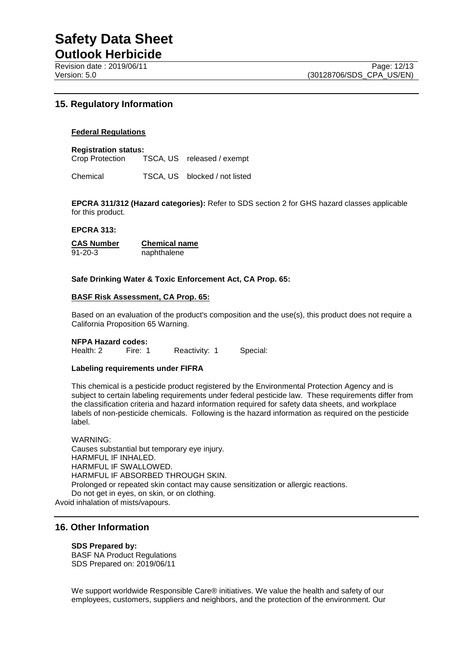Revision date : 2019/06/11 Page: 12/13<br>Version: 5.0 (30128706/SDS CPA US/EN)

# **15. Regulatory Information**

#### **Federal Regulations**

#### **Registration status:**

Crop Protection TSCA, US released / exempt

Chemical TSCA, US blocked / not listed

**EPCRA 311/312 (Hazard categories):** Refer to SDS section 2 for GHS hazard classes applicable for this product.

#### **EPCRA 313:**

**CAS Number Chemical name** 91-20-3 naphthalene

#### **Safe Drinking Water & Toxic Enforcement Act, CA Prop. 65:**

#### **BASF Risk Assessment, CA Prop. 65:**

Based on an evaluation of the product's composition and the use(s), this product does not require a California Proposition 65 Warning.

#### **NFPA Hazard codes:**

Health: 2 Fire: 1 Reactivity: 1 Special:

#### **Labeling requirements under FIFRA**

This chemical is a pesticide product registered by the Environmental Protection Agency and is subject to certain labeling requirements under federal pesticide law. These requirements differ from the classification criteria and hazard information required for safety data sheets, and workplace labels of non-pesticide chemicals. Following is the hazard information as required on the pesticide label.

WARNING: Causes substantial but temporary eye injury. HARMFUL IF INHALED. HARMFUL IF SWALLOWED. HARMFUL IF ABSORBED THROUGH SKIN. Prolonged or repeated skin contact may cause sensitization or allergic reactions. Do not get in eyes, on skin, or on clothing.

Avoid inhalation of mists/vapours.

## **16. Other Information**

#### **SDS Prepared by:**

BASF NA Product Regulations SDS Prepared on: 2019/06/11

We support worldwide Responsible Care® initiatives. We value the health and safety of our employees, customers, suppliers and neighbors, and the protection of the environment. Our